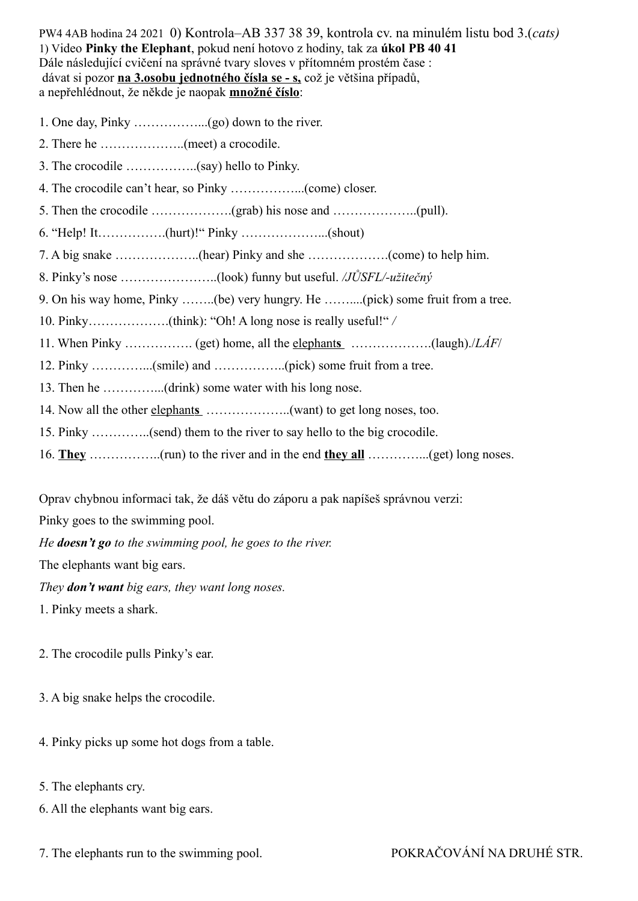PW4 4AB hodina 24 2021 0) Kontrola–AB 337 38 39, kontrola cv. na minulém listu bod 3.(*cats)* 1) Video **Pinky the Elephant**, pokud není hotovo z hodiny, tak za **úkol PB 40 41** Dále následující cvičení na správné tvary sloves v přítomném prostém čase : dávat si pozor **na 3.osobu jednotného čísla se - s,** což je většina případů, a nepřehlédnout, že někde je naopak **množné číslo**:

- 1. One day, Pinky ……………...(go) down to the river.
- 2. There he ………………..(meet) a crocodile.
- 3. The crocodile ……………..(say) hello to Pinky.
- 4. The crocodile can't hear, so Pinky ……………...(come) closer.
- 5. Then the crocodile ……………….(grab) his nose and ………………..(pull).
- 6. "Help! It…………….(hurt)!" Pinky ………………...(shout)
- 7. A big snake ………………..(hear) Pinky and she ……………….(come) to help him.
- 8. Pinky's nose …………………..(look) funny but useful. */JŮSFL/-užitečný*
- 9. On his way home, Pinky ……..(be) very hungry. He ……....(pick) some fruit from a tree.
- 10. Pinky……………….(think): "Oh! A long nose is really useful!" */*
- 11. When Pinky …………….. (get) home, all the elephants **shipmum** (laugh)./*LÁF*/
- 12. Pinky …………...(smile) and ……………..(pick) some fruit from a tree.
- 13. Then he …………...(drink) some water with his long nose.
- 14. Now all the other elephants **Electer** 14. Now all the other elephants **s**.
- 15. Pinky …………..(send) them to the river to say hello to the big crocodile.
- 16. **They** ……………..(run) to the river and in the end **they all** …………...(get) long noses.

Oprav chybnou informaci tak, že dáš větu do záporu a pak napíšeš správnou verzi:

Pinky goes to the swimming pool.

*He doesn't go to the swimming pool, he goes to the river.*

The elephants want big ears.

*They don't want big ears, they want long noses.* 

1. Pinky meets a shark.

- 2. The crocodile pulls Pinky's ear.
- 3. A big snake helps the crocodile.
- 4. Pinky picks up some hot dogs from a table.
- 5. The elephants cry.
- 6. All the elephants want big ears.
- 7. The elephants run to the swimming pool. POKRAČOVÁNÍ NA DRUHÉ STR.